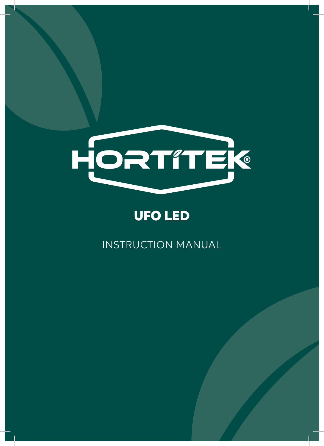

# **UFO LED**

INSTRUCTION MANUAL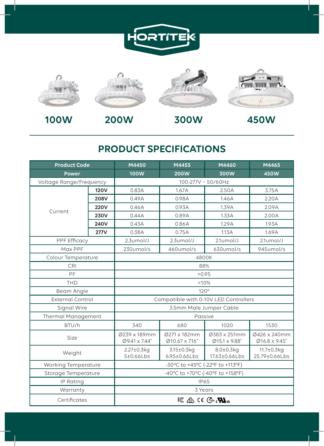



### **PRODUCT SPECIFICATIONS**

| <b>Product Code</b>       |             | M4450                                 | M4455                                 | M4460                                 | M4465                                |
|---------------------------|-------------|---------------------------------------|---------------------------------------|---------------------------------------|--------------------------------------|
| <b>Power</b>              |             | <b>100W</b>                           | 200W                                  | 300W                                  | 450W                                 |
| Voltage Range/Frequency   |             | 100-277V ~ 50/60Hz                    |                                       |                                       |                                      |
| Current                   | <b>120V</b> | 0.83A                                 | 1.67A                                 | 2.50A                                 | 3.75A                                |
|                           | 208V        | 0.49A                                 | 0.98A                                 | 1.46A                                 | 2.20A                                |
|                           | <b>220V</b> | 0.46A                                 | 0.93A                                 | 1.39A                                 | 2.09A                                |
|                           | 230V        | 0.44A                                 | 0.89A                                 | 1.33A                                 | 2.00A                                |
|                           | 240V        | 0.43A                                 | 0.86A                                 | 1.29A                                 | 1.93A                                |
|                           | <b>277V</b> | 0.38A                                 | 0.75A                                 | 1.13A                                 | 1.69A                                |
| PPF Efficacy              |             | $2.3$ umol/J                          | $2.3$ umol $/$ J                      | $2.1$ umol $/$ J                      | $2.1$ umol $/$ J                     |
| Max PPF                   |             | $230$ umol/s                          | 460umol/s                             | $630$ umol/s                          | 945umol/s                            |
| Colour Temperature        |             | 4800K                                 |                                       |                                       |                                      |
| CRI                       |             | 88%                                   |                                       |                                       |                                      |
| PF                        |             | >0.95                                 |                                       |                                       |                                      |
| THD                       |             | <10%                                  |                                       |                                       |                                      |
| Beam Angle                |             | $120^\circ$                           |                                       |                                       |                                      |
| <b>External Control</b>   |             | Compatible with 0-10V LED Controllers |                                       |                                       |                                      |
| Signal Wire               |             | 3.5mm Male Jumper Cable               |                                       |                                       |                                      |
| <b>Thermal Management</b> |             | Passive                               |                                       |                                       |                                      |
| BTU/h                     |             | 340                                   | 680                                   | 1020                                  | 1530                                 |
| Size                      |             | Ø239 x 189mm<br>Ø9.41 x 7.44"         | Ø271 x 182mm<br>$Ø10.67 \times 7.16"$ | Ø383 x 251mm<br>$Ø15.1 \times 9.88$ " | Ø426 x 240mm<br>$Ø16.8 \times 9.45"$ |
| Weight                    |             | $2.27 \pm 0.3$ kg<br>5±0.66Lbs        | $3.15 \pm 0.3$ kg<br>6.95±0.66Lbs     | 8.0±0.3kg<br>17.63±0.66Lbs            | $11.7 \pm 0.3$ kg<br>25.79±0.66Lbs   |
| Working Temperature       |             | -30°C to +45°C (-22°F to +113°F)      |                                       |                                       |                                      |
| Storage Temperature       |             | -40°C to +70°C (-40°F to +158°F)      |                                       |                                       |                                      |
| IP Rating                 |             | <b>IP65</b>                           |                                       |                                       |                                      |
| Warranty                  |             | 3 Years                               |                                       |                                       |                                      |
| Certificates              |             |                                       |                                       |                                       |                                      |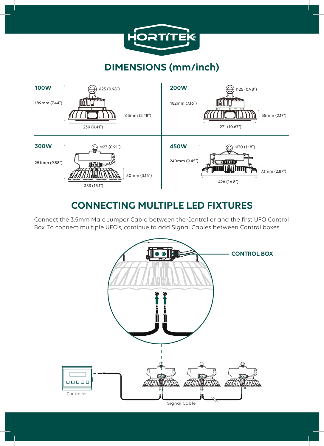

## **DIMENSIONS (mm/inch)**



### **CONNECTING MULTIPLE LED FIXTURES**

Connect the 3.5mm Male Jumper Cable between the Controller and the first UFO Control Box. To connect multiple UFO's, continue to add Signal Cables between Control boxes.